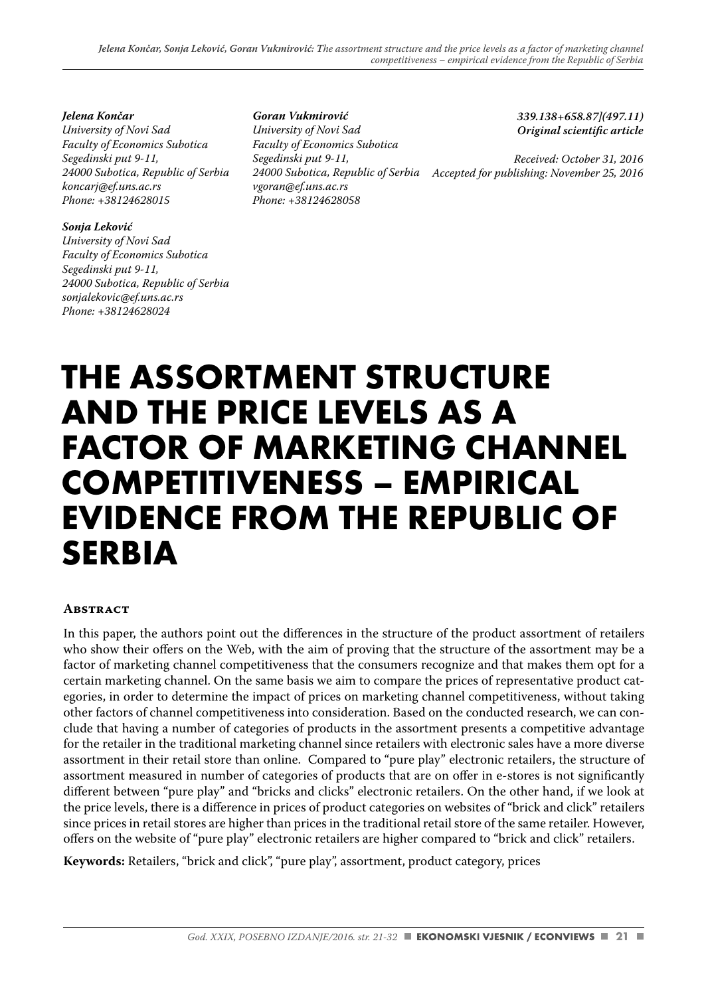*Jelena Končar University of Novi Sad Faculty of Economics Subotica Segedinski put 9-11, 24000 Subotica, Republic of Serbia koncarj@ef.uns.ac.rs Phone: +38124628015*

#### *Sonja Leković*

*University of Novi Sad Faculty of Economics Subotica Segedinski put 9-11, 24000 Subotica, Republic of Serbia sonjalekovic@ef.uns.ac.rs Phone: +38124628024*

*Goran Vukmirović University of Novi Sad Faculty of Economics Subotica Segedinski put 9-11, vgoran@ef.uns.ac.rs Phone: +38124628058*

*339.138+658.87](497.11)* **Original scientific article** 

*Received: October 31, 2016 Accepted for publishing: November 25, 2016 24000 Subotica, Republic of Serbia*

# **THE ASSORTMENT STRUCTURE AND THE PRICE LEVELS AS A FACTOR OF MARKETING CHANNEL COMPETITIVENESS – EMPIRICAL EVIDENCE FROM THE REPUBLIC OF SERBIA**

#### **Abstract**

In this paper, the authors point out the differences in the structure of the product assortment of retailers who show their offers on the Web, with the aim of proving that the structure of the assortment may be a factor of marketing channel competitiveness that the consumers recognize and that makes them opt for a certain marketing channel. On the same basis we aim to compare the prices of representative product categories, in order to determine the impact of prices on marketing channel competitiveness, without taking other factors of channel competitiveness into consideration. Based on the conducted research, we can conclude that having a number of categories of products in the assortment presents a competitive advantage for the retailer in the traditional marketing channel since retailers with electronic sales have a more diverse assortment in their retail store than online. Compared to "pure play" electronic retailers, the structure of assortment measured in number of categories of products that are on offer in e-stores is not significantly different between "pure play" and "bricks and clicks" electronic retailers. On the other hand, if we look at the price levels, there is a difference in prices of product categories on websites of "brick and click" retailers since prices in retail stores are higher than prices in the traditional retail store of the same retailer. However, offers on the website of "pure play" electronic retailers are higher compared to "brick and click" retailers.

**Keywords:** Retailers, "brick and click", "pure play", assortment, product category, prices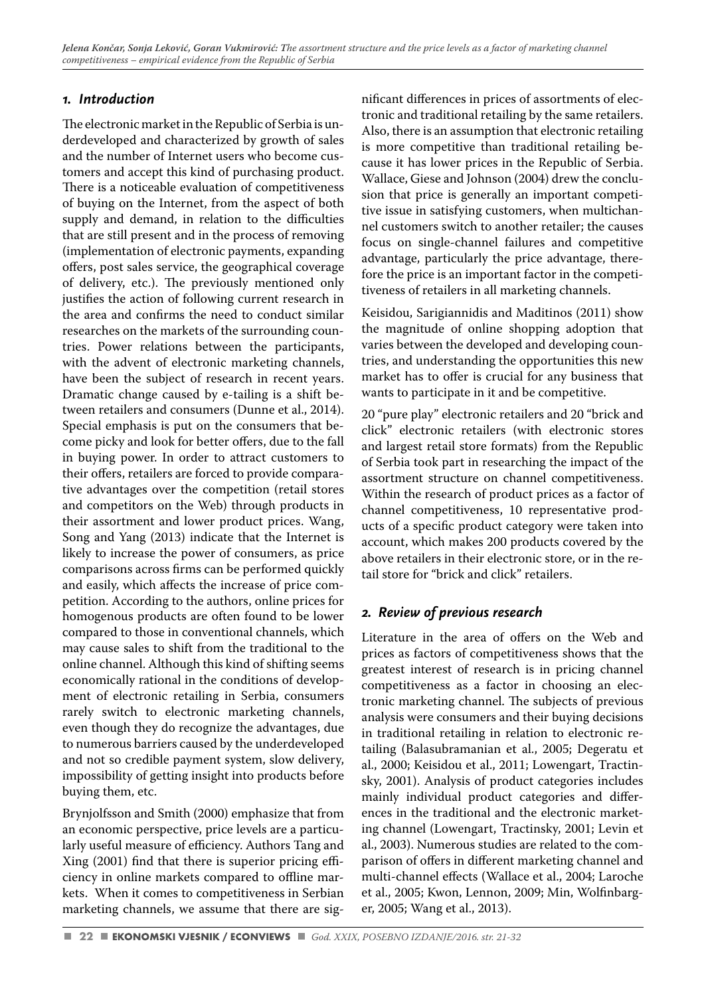## *1. Introduction*

The electronic market in the Republic of Serbia is underdeveloped and characterized by growth of sales and the number of Internet users who become customers and accept this kind of purchasing product. There is a noticeable evaluation of competitiveness of buying on the Internet, from the aspect of both supply and demand, in relation to the difficulties that are still present and in the process of removing (implementation of electronic payments, expanding offers, post sales service, the geographical coverage of delivery, etc.). The previously mentioned only justifies the action of following current research in the area and confirms the need to conduct similar researches on the markets of the surrounding countries. Power relations between the participants, with the advent of electronic marketing channels, have been the subject of research in recent years. Dramatic change caused by e-tailing is a shift between retailers and consumers (Dunne et al., 2014). Special emphasis is put on the consumers that become picky and look for better offers, due to the fall in buying power. In order to attract customers to their offers, retailers are forced to provide comparative advantages over the competition (retail stores and competitors on the Web) through products in their assortment and lower product prices. Wang, Song and Yang (2013) indicate that the Internet is likely to increase the power of consumers, as price comparisons across firms can be performed quickly and easily, which affects the increase of price competition. According to the authors, online prices for homogenous products are often found to be lower compared to those in conventional channels, which may cause sales to shift from the traditional to the online channel. Although this kind of shifting seems economically rational in the conditions of development of electronic retailing in Serbia, consumers rarely switch to electronic marketing channels, even though they do recognize the advantages, due to numerous barriers caused by the underdeveloped and not so credible payment system, slow delivery, impossibility of getting insight into products before buying them, etc.

Brynjolfsson and Smith (2000) emphasize that from an economic perspective, price levels are a particularly useful measure of efficiency. Authors Tang and Xing (2001) find that there is superior pricing efficiency in online markets compared to offline markets. When it comes to competitiveness in Serbian marketing channels, we assume that there are sig-

nificant differences in prices of assortments of electronic and traditional retailing by the same retailers. Also, there is an assumption that electronic retailing is more competitive than traditional retailing because it has lower prices in the Republic of Serbia. Wallace, Giese and Johnson (2004) drew the conclusion that price is generally an important competitive issue in satisfying customers, when multichannel customers switch to another retailer; the causes focus on single-channel failures and competitive advantage, particularly the price advantage, therefore the price is an important factor in the competitiveness of retailers in all marketing channels.

Keisidou, Sarigiannidis and Maditinos (2011) show the magnitude of online shopping adoption that varies between the developed and developing countries, and understanding the opportunities this new market has to offer is crucial for any business that wants to participate in it and be competitive.

20 "pure play" electronic retailers and 20 "brick and click" electronic retailers (with electronic stores and largest retail store formats) from the Republic of Serbia took part in researching the impact of the assortment structure on channel competitiveness. Within the research of product prices as a factor of channel competitiveness, 10 representative products of a specific product category were taken into account, which makes 200 products covered by the above retailers in their electronic store, or in the retail store for "brick and click" retailers.

# *2. Review of previous research*

Literature in the area of offers on the Web and prices as factors of competitiveness shows that the greatest interest of research is in pricing channel competitiveness as a factor in choosing an electronic marketing channel. The subjects of previous analysis were consumers and their buying decisions in traditional retailing in relation to electronic retailing (Balasubramanian et al., 2005; Degeratu et al., 2000; Keisidou et al., 2011; Lowengart, Tractinsky, 2001). Analysis of product categories includes mainly individual product categories and differences in the traditional and the electronic marketing channel (Lowengart, Tractinsky, 2001; Levin et al., 2003). Numerous studies are related to the comparison of offers in different marketing channel and multi-channel effects (Wallace et al., 2004; Laroche et al., 2005; Kwon, Lennon, 2009; Min, Wolfinbarger, 2005; Wang et al., 2013).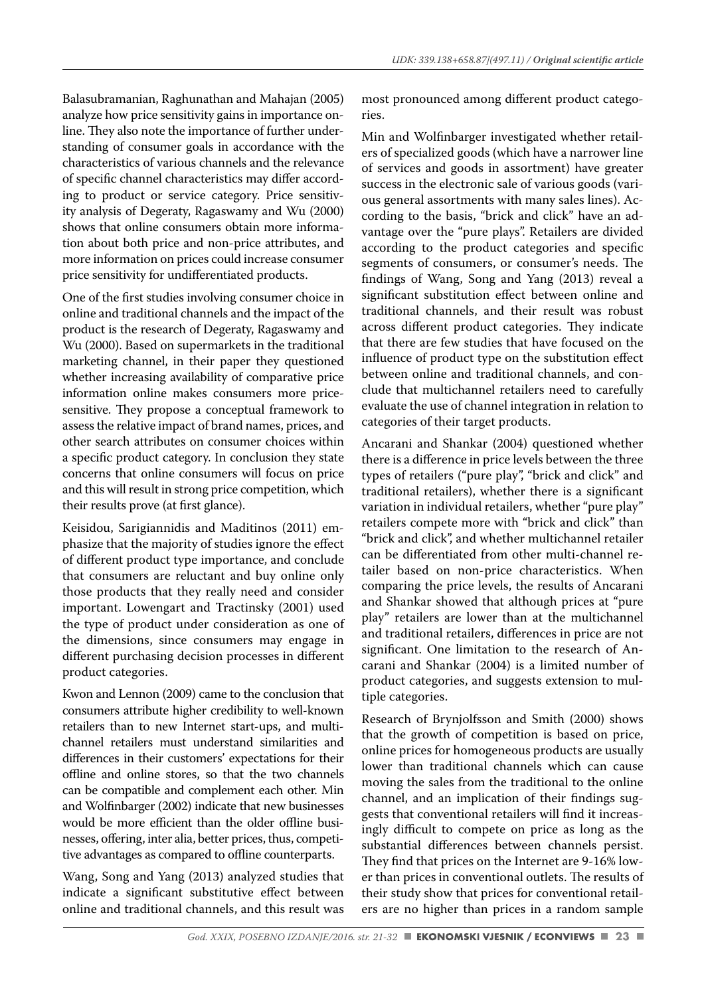Balasubramanian, Raghunathan and Mahajan (2005) analyze how price sensitivity gains in importance online. They also note the importance of further understanding of consumer goals in accordance with the characteristics of various channels and the relevance of specific channel characteristics may differ according to product or service category. Price sensitivity analysis of Degeraty, Ragaswamy and Wu (2000) shows that online consumers obtain more information about both price and non-price attributes, and more information on prices could increase consumer price sensitivity for undifferentiated products.

One of the first studies involving consumer choice in online and traditional channels and the impact of the product is the research of Degeraty, Ragaswamy and Wu (2000). Based on supermarkets in the traditional marketing channel, in their paper they questioned whether increasing availability of comparative price information online makes consumers more pricesensitive. They propose a conceptual framework to assess the relative impact of brand names, prices, and other search attributes on consumer choices within a specific product category. In conclusion they state concerns that online consumers will focus on price and this will result in strong price competition, which their results prove (at first glance).

Keisidou, Sarigiannidis and Maditinos (2011) emphasize that the majority of studies ignore the effect of different product type importance, and conclude that consumers are reluctant and buy online only those products that they really need and consider important. Lowengart and Tractinsky (2001) used the type of product under consideration as one of the dimensions, since consumers may engage in different purchasing decision processes in different product categories.

Kwon and Lennon (2009) came to the conclusion that consumers attribute higher credibility to well-known retailers than to new Internet start-ups, and multichannel retailers must understand similarities and differences in their customers' expectations for their offline and online stores, so that the two channels can be compatible and complement each other. Min and Wolfinbarger (2002) indicate that new businesses would be more efficient than the older offline businesses, offering, inter alia, better prices, thus, competitive advantages as compared to offline counterparts.

Wang, Song and Yang (2013) analyzed studies that indicate a significant substitutive effect between online and traditional channels, and this result was most pronounced among different product categories

Min and Wolfinbarger investigated whether retailers of specialized goods (which have a narrower line of services and goods in assortment) have greater success in the electronic sale of various goods (various general assortments with many sales lines). According to the basis, "brick and click" have an advantage over the "pure plays". Retailers are divided according to the product categories and specific segments of consumers, or consumer's needs. The findings of Wang, Song and Yang (2013) reveal a significant substitution effect between online and traditional channels, and their result was robust across different product categories. They indicate that there are few studies that have focused on the influence of product type on the substitution effect between online and traditional channels, and conclude that multichannel retailers need to carefully evaluate the use of channel integration in relation to categories of their target products.

Ancarani and Shankar (2004) questioned whether there is a difference in price levels between the three types of retailers ("pure play", "brick and click" and traditional retailers), whether there is a significant variation in individual retailers, whether "pure play" retailers compete more with "brick and click" than "brick and click", and whether multichannel retailer can be differentiated from other multi-channel retailer based on non-price characteristics. When comparing the price levels, the results of Ancarani and Shankar showed that although prices at "pure play" retailers are lower than at the multichannel and traditional retailers, differences in price are not significant. One limitation to the research of Ancarani and Shankar (2004) is a limited number of product categories, and suggests extension to multiple categories.

Research of Brynjolfsson and Smith (2000) shows that the growth of competition is based on price, online prices for homogeneous products are usually lower than traditional channels which can cause moving the sales from the traditional to the online channel, and an implication of their findings suggests that conventional retailers will find it increasingly difficult to compete on price as long as the substantial differences between channels persist. They find that prices on the Internet are 9-16% lower than prices in conventional outlets. The results of their study show that prices for conventional retailers are no higher than prices in a random sample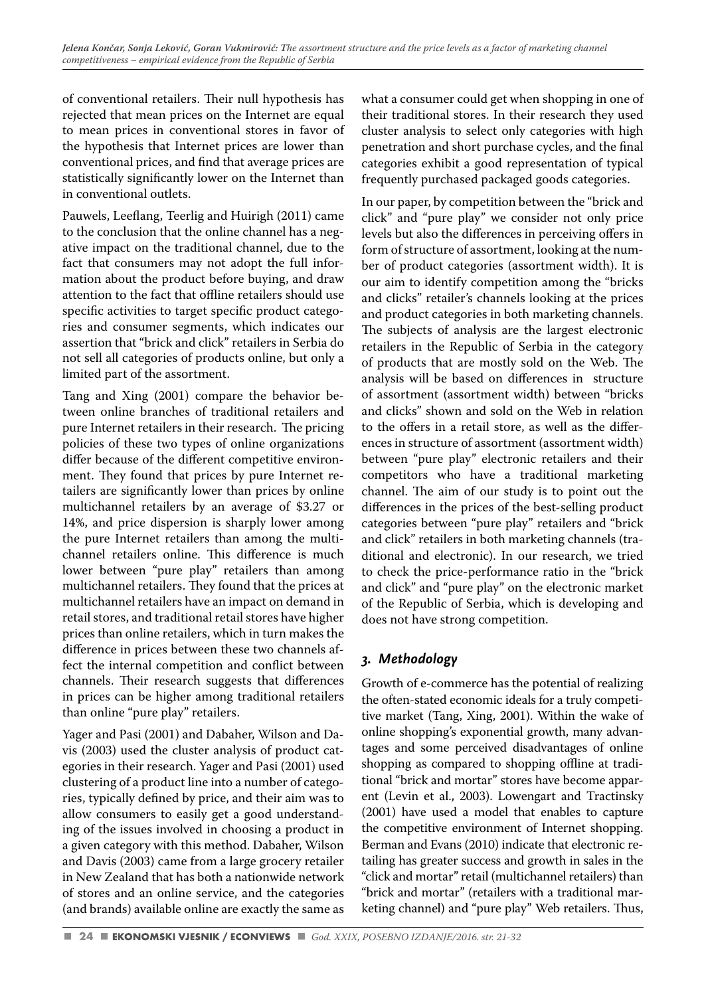of conventional retailers. Their null hypothesis has rejected that mean prices on the Internet are equal to mean prices in conventional stores in favor of the hypothesis that Internet prices are lower than conventional prices, and find that average prices are statistically significantly lower on the Internet than in conventional outlets.

Pauwels, Leeflang, Teerlig and Huirigh (2011) came to the conclusion that the online channel has a negative impact on the traditional channel, due to the fact that consumers may not adopt the full information about the product before buying, and draw attention to the fact that offline retailers should use specific activities to target specific product categories and consumer segments, which indicates our assertion that "brick and click" retailers in Serbia do not sell all categories of products online, but only a limited part of the assortment.

Tang and Xing (2001) compare the behavior between online branches of traditional retailers and pure Internet retailers in their research. The pricing policies of these two types of online organizations differ because of the different competitive environment. They found that prices by pure Internet retailers are significantly lower than prices by online multichannel retailers by an average of \$3.27 or 14%, and price dispersion is sharply lower among the pure Internet retailers than among the multichannel retailers online. This difference is much lower between "pure play" retailers than among multichannel retailers. They found that the prices at multichannel retailers have an impact on demand in retail stores, and traditional retail stores have higher prices than online retailers, which in turn makes the difference in prices between these two channels affect the internal competition and conflict between channels. Their research suggests that differences in prices can be higher among traditional retailers than online "pure play" retailers.

Yager and Pasi (2001) and Dabaher, Wilson and Davis (2003) used the cluster analysis of product categories in their research. Yager and Pasi (2001) used clustering of a product line into a number of categories, typically defined by price, and their aim was to allow consumers to easily get a good understanding of the issues involved in choosing a product in a given category with this method. Dabaher, Wilson and Davis (2003) came from a large grocery retailer in New Zealand that has both a nationwide network of stores and an online service, and the categories (and brands) available online are exactly the same as what a consumer could get when shopping in one of their traditional stores. In their research they used cluster analysis to select only categories with high penetration and short purchase cycles, and the final categories exhibit a good representation of typical frequently purchased packaged goods categories.

In our paper, by competition between the "brick and click" and "pure play" we consider not only price levels but also the differences in perceiving offers in form of structure of assortment, looking at the number of product categories (assortment width). It is our aim to identify competition among the "bricks and clicks" retailer's channels looking at the prices and product categories in both marketing channels. The subjects of analysis are the largest electronic retailers in the Republic of Serbia in the category of products that are mostly sold on the Web. The analysis will be based on differences in structure of assortment (assortment width) between "bricks and clicks" shown and sold on the Web in relation to the offers in a retail store, as well as the differences in structure of assortment (assortment width) between "pure play" electronic retailers and their competitors who have a traditional marketing channel. The aim of our study is to point out the differences in the prices of the best-selling product categories between "pure play" retailers and "brick and click" retailers in both marketing channels (traditional and electronic). In our research, we tried to check the price-performance ratio in the "brick and click" and "pure play" on the electronic market of the Republic of Serbia, which is developing and does not have strong competition.

# *3. Methodology*

Growth of e-commerce has the potential of realizing the often-stated economic ideals for a truly competitive market (Tang, Xing, 2001). Within the wake of online shopping's exponential growth, many advantages and some perceived disadvantages of online shopping as compared to shopping offline at traditional "brick and mortar" stores have become apparent (Levin et al., 2003). Lowengart and Tractinsky (2001) have used a model that enables to capture the competitive environment of Internet shopping. Berman and Evans (2010) indicate that electronic retailing has greater success and growth in sales in the "click and mortar" retail (multichannel retailers) than "brick and mortar" (retailers with a traditional marketing channel) and "pure play" Web retailers. Thus,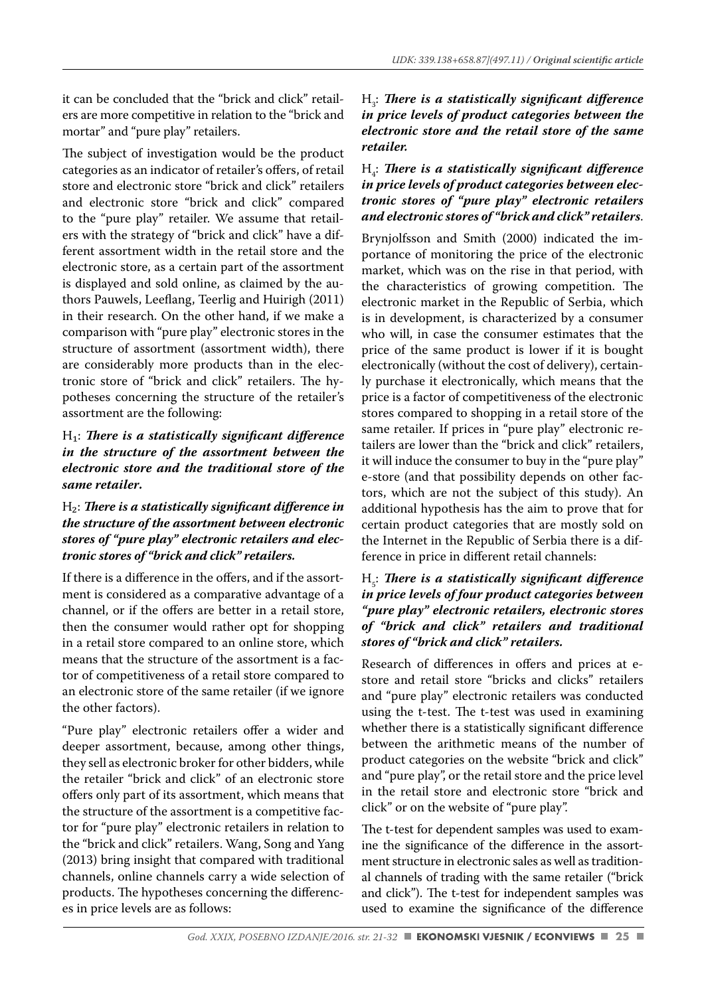it can be concluded that the "brick and click" retailers are more competitive in relation to the "brick and mortar" and "pure play" retailers.

The subject of investigation would be the product categories as an indicator of retailer's offers, of retail store and electronic store "brick and click" retailers and electronic store "brick and click" compared to the "pure play" retailer. We assume that retailers with the strategy of "brick and click" have a different assortment width in the retail store and the electronic store, as a certain part of the assortment is displayed and sold online, as claimed by the authors Pauwels, Leeflang, Teerlig and Huirigh (2011) in their research. On the other hand, if we make a comparison with "pure play" electronic stores in the structure of assortment (assortment width), there are considerably more products than in the electronic store of "brick and click" retailers. The hypotheses concerning the structure of the retailer's assortment are the following:

#### H<sub>1</sub>: *There is a statistically significant difference in the structure of the assortment between the electronic store and the traditional store of the same retailer***.**

#### H<sub>2</sub>: There is a statistically significant difference in *the structure of the assortment between electronic stores of "pure play" electronic retailers and electronic stores of "brick and click" retailers.*

If there is a difference in the offers, and if the assortment is considered as a comparative advantage of a channel, or if the offers are better in a retail store, then the consumer would rather opt for shopping in a retail store compared to an online store, which means that the structure of the assortment is a factor of competitiveness of a retail store compared to an electronic store of the same retailer (if we ignore the other factors).

"Pure play" electronic retailers offer a wider and deeper assortment, because, among other things, they sell as electronic broker for other bidders, while the retailer "brick and click" of an electronic store offers only part of its assortment, which means that the structure of the assortment is a competitive factor for "pure play" electronic retailers in relation to the "brick and click" retailers. Wang, Song and Yang (2013) bring insight that compared with traditional channels, online channels carry a wide selection of products. The hypotheses concerning the differences in price levels are as follows:

#### H3 : *Th ere is a statistically signifi cant diff erence in price levels of product categories between the electronic store and the retail store of the same retailer.*

#### H4 : *Th ere is a statistically signifi cant diff erence in price levels of product categories between electronic stores of "pure play" electronic retailers and electronic stores of "brick and click" retailers*.

Brynjolfsson and Smith (2000) indicated the importance of monitoring the price of the electronic market, which was on the rise in that period, with the characteristics of growing competition. The electronic market in the Republic of Serbia, which is in development, is characterized by a consumer who will, in case the consumer estimates that the price of the same product is lower if it is bought electronically (without the cost of delivery), certainly purchase it electronically, which means that the price is a factor of competitiveness of the electronic stores compared to shopping in a retail store of the same retailer. If prices in "pure play" electronic retailers are lower than the "brick and click" retailers, it will induce the consumer to buy in the "pure play" e-store (and that possibility depends on other factors, which are not the subject of this study). An additional hypothesis has the aim to prove that for certain product categories that are mostly sold on the Internet in the Republic of Serbia there is a difference in price in different retail channels:

#### H<sub>5</sub>: *There is a statistically significant difference in price levels of four product categories between "pure play" electronic retailers, electronic stores of "brick and click" retailers and traditional stores of "brick and click" retailers.*

Research of differences in offers and prices at estore and retail store "bricks and clicks" retailers and "pure play" electronic retailers was conducted using the t-test. The t-test was used in examining whether there is a statistically significant difference between the arithmetic means of the number of product categories on the website "brick and click" and "pure play", or the retail store and the price level in the retail store and electronic store "brick and click" or on the website of "pure play".

The t-test for dependent samples was used to examine the significance of the difference in the assortment structure in electronic sales as well as traditional channels of trading with the same retailer ("brick and click"). The t-test for independent samples was used to examine the significance of the difference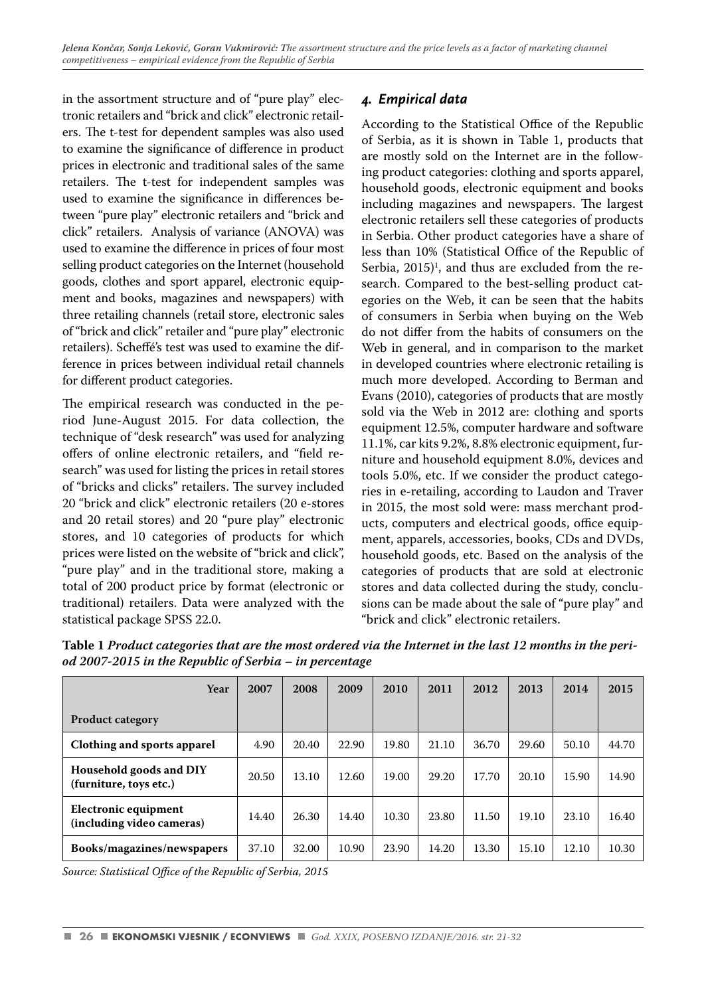in the assortment structure and of "pure play" electronic retailers and "brick and click" electronic retailers. The t-test for dependent samples was also used to examine the significance of difference in product prices in electronic and traditional sales of the same retailers. The t-test for independent samples was used to examine the significance in differences between "pure play" electronic retailers and "brick and click" retailers. Analysis of variance (ANOVA) was used to examine the difference in prices of four most selling product categories on the Internet (household goods, clothes and sport apparel, electronic equipment and books, magazines and newspapers) with three retailing channels (retail store, electronic sales of "brick and click" retailer and "pure play" electronic retailers). Scheffé's test was used to examine the difference in prices between individual retail channels for different product categories.

The empirical research was conducted in the period June-August 2015. For data collection, the technique of "desk research" was used for analyzing offers of online electronic retailers, and "field research" was used for listing the prices in retail stores of "bricks and clicks" retailers. The survey included 20 "brick and click" electronic retailers (20 e-stores and 20 retail stores) and 20 "pure play" electronic stores, and 10 categories of products for which prices were listed on the website of "brick and click", "pure play" and in the traditional store, making a total of 200 product price by format (electronic or traditional) retailers. Data were analyzed with the statistical package SPSS 22.0.

# *4. Empirical data*

According to the Statistical Office of the Republic of Serbia, as it is shown in Table 1, products that are mostly sold on the Internet are in the following product categories: clothing and sports apparel, household goods, electronic equipment and books including magazines and newspapers. The largest electronic retailers sell these categories of products in Serbia. Other product categories have a share of less than 10% (Statistical Office of the Republic of Serbia,  $2015$ <sup> $\text{I}$ </sup>, and thus are excluded from the research. Compared to the best-selling product categories on the Web, it can be seen that the habits of consumers in Serbia when buying on the Web do not differ from the habits of consumers on the Web in general, and in comparison to the market in developed countries where electronic retailing is much more developed. According to Berman and Evans (2010), categories of products that are mostly sold via the Web in 2012 are: clothing and sports equipment 12.5%, computer hardware and software 11.1%, car kits 9.2%, 8.8% electronic equipment, furniture and household equipment 8.0%, devices and tools 5.0%, etc. If we consider the product categories in e-retailing, according to Laudon and Traver in 2015, the most sold were: mass merchant products, computers and electrical goods, office equipment, apparels, accessories, books, CDs and DVDs, household goods, etc. Based on the analysis of the categories of products that are sold at electronic stores and data collected during the study, conclusions can be made about the sale of "pure play" and "brick and click" electronic retailers.

| Year                                              | 2007  | 2008  | 2009  | 2010  | 2011  | 2012  | 2013  | 2014  | 2015  |
|---------------------------------------------------|-------|-------|-------|-------|-------|-------|-------|-------|-------|
| <b>Product category</b>                           |       |       |       |       |       |       |       |       |       |
| Clothing and sports apparel                       | 4.90  | 20.40 | 22.90 | 19.80 | 21.10 | 36.70 | 29.60 | 50.10 | 44.70 |
| Household goods and DIY<br>(furniture, toys etc.) | 20.50 | 13.10 | 12.60 | 19.00 | 29.20 | 17.70 | 20.10 | 15.90 | 14.90 |
| Electronic equipment<br>(including video cameras) | 14.40 | 26.30 | 14.40 | 10.30 | 23.80 | 11.50 | 19.10 | 23.10 | 16.40 |
| Books/magazines/newspapers                        | 37.10 | 32.00 | 10.90 | 23.90 | 14.20 | 13.30 | 15.10 | 12.10 | 10.30 |

**Table 1** *Product categories that are the most ordered via the Internet in the last 12 months in the period 2007-2015 in the Republic of Serbia – in percentage* 

Source: Statistical Office of the Republic of Serbia, 2015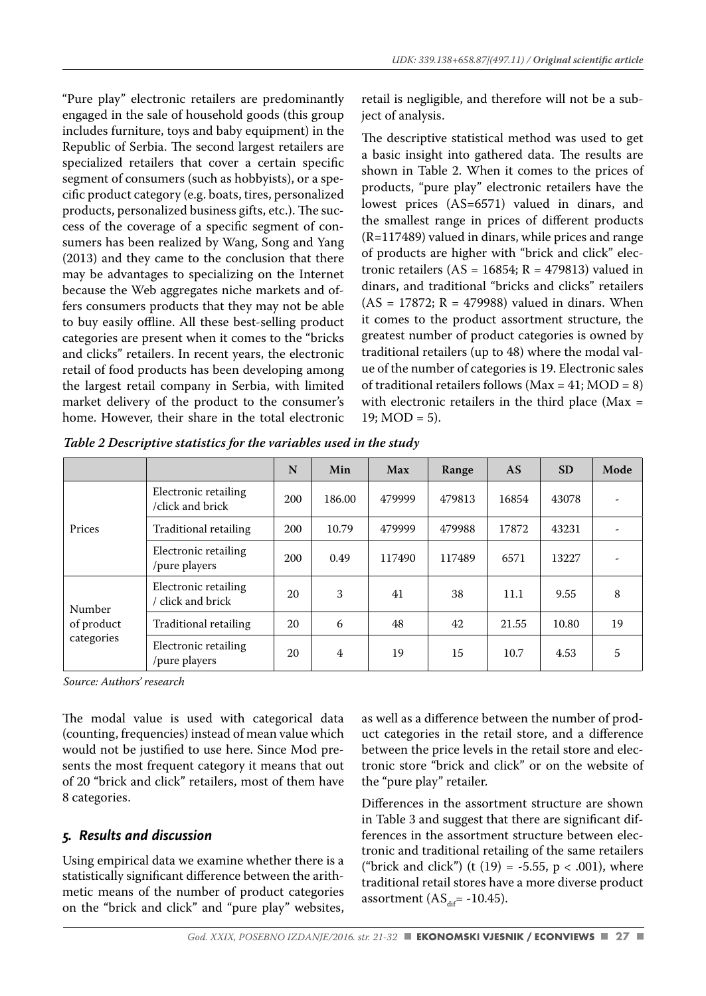"Pure play" electronic retailers are predominantly engaged in the sale of household goods (this group includes furniture, toys and baby equipment) in the Republic of Serbia. The second largest retailers are specialized retailers that cover a certain specific segment of consumers (such as hobbyists), or a specific product category (e.g. boats, tires, personalized products, personalized business gifts, etc.). The success of the coverage of a specific segment of consumers has been realized by Wang, Song and Yang (2013) and they came to the conclusion that there may be advantages to specializing on the Internet because the Web aggregates niche markets and offers consumers products that they may not be able to buy easily offline. All these best-selling product categories are present when it comes to the "bricks and clicks" retailers. In recent years, the electronic retail of food products has been developing among the largest retail company in Serbia, with limited market delivery of the product to the consumer's home. However, their share in the total electronic

retail is negligible, and therefore will not be a subject of analysis.

The descriptive statistical method was used to get a basic insight into gathered data. The results are shown in Table 2. When it comes to the prices of products, "pure play" electronic retailers have the lowest prices (AS=6571) valued in dinars, and the smallest range in prices of different products (R=117489) valued in dinars, while prices and range of products are higher with "brick and click" electronic retailers ( $AS = 16854$ ;  $R = 479813$ ) valued in dinars, and traditional "bricks and clicks" retailers  $(AS = 17872; R = 479988)$  valued in dinars. When it comes to the product assortment structure, the greatest number of product categories is owned by traditional retailers (up to 48) where the modal value of the number of categories is 19. Electronic sales of traditional retailers follows ( $Max = 41$ ;  $MOD = 8$ ) with electronic retailers in the third place ( $Max =$  $19: MOD = 5$ ).

|                                    |                                           | N   | Min    | Max    | Range  | AS    | <b>SD</b> | Mode |
|------------------------------------|-------------------------------------------|-----|--------|--------|--------|-------|-----------|------|
| Prices                             | Electronic retailing<br>/click and brick  | 200 | 186.00 | 479999 | 479813 | 16854 | 43078     | ٠    |
|                                    | Traditional retailing                     | 200 | 10.79  | 479999 | 479988 | 17872 | 43231     |      |
|                                    | Electronic retailing<br>/pure players     | 200 | 0.49   | 117490 | 117489 | 6571  | 13227     |      |
| Number<br>of product<br>categories | Electronic retailing<br>/ click and brick | 20  | 3      | 41     | 38     | 11.1  | 9.55      | 8    |
|                                    | Traditional retailing                     | 20  | 6      | 48     | 42     | 21.55 | 10.80     | 19   |
|                                    | Electronic retailing<br>/pure players     | 20  | 4      | 19     | 15     | 10.7  | 4.53      | 5    |

*Table 2 Descriptive statistics for the variables used in the study*

*Source: Authors' research*

The modal value is used with categorical data (counting, frequencies) instead of mean value which would not be justified to use here. Since Mod presents the most frequent category it means that out of 20 "brick and click" retailers, most of them have 8 categories.

# *5. Results and discussion*

Using empirical data we examine whether there is a statistically significant difference between the arithmetic means of the number of product categories on the "brick and click" and "pure play" websites, as well as a difference between the number of product categories in the retail store, and a difference between the price levels in the retail store and electronic store "brick and click" or on the website of the "pure play" retailer.

Differences in the assortment structure are shown in Table 3 and suggest that there are significant differences in the assortment structure between electronic and traditional retailing of the same retailers ("brick and click") (t  $(19) = -5.55$ , p < .001), where traditional retail stores have a more diverse product assortment  $(AS<sub>dif</sub> = -10.45)$ .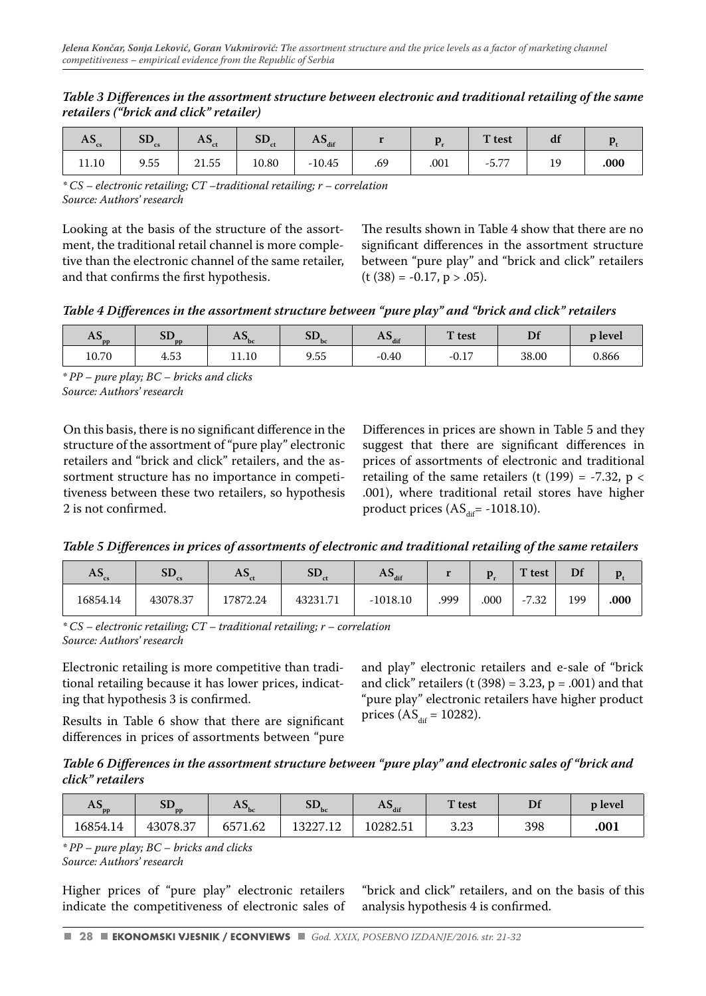#### *Table 3 Diff erences in the assortment structure between electronic and traditional retailing of the same retailers ("brick and click" retailer)*

| $\mathbf{A}$ | ЭD.<br>$\mathbf{c}\mathbf{s}$ | $\mathbf{A}$<br>w | $\alpha$ r<br>- 5D.,<br>сt | $\mathbf{A}$ $\mathbf{J}_{\text{dif}}$ |     |      | T test          | uı  |      |
|--------------|-------------------------------|-------------------|----------------------------|----------------------------------------|-----|------|-----------------|-----|------|
| 11.10        | 9.55                          | 21.55             | 10.80                      | $-10.45$                               | .69 | .001 | $ -$<br>$-5.7.$ | . . | .000 |

*\* CS – electronic retailing; CT –traditional retailing; r – correlation Source: Authors' research*

Looking at the basis of the structure of the assortment, the traditional retail channel is more completive than the electronic channel of the same retailer, and that confirms the first hypothesis.

The results shown in Table 4 show that there are no significant differences in the assortment structure between "pure play" and "brick and click" retailers  $(t (38) = -0.17, p > .05).$ 

Table 4 Differences in the assortment structure between "pure play" and "brick and click" retailers

| $\mathbf{r}$<br>$A3_{\text{pp}}$ | $\alpha$ re<br>$U_{DD}$ | AS,<br>bc | $_{\rm cr}$<br>$5L_{bc}$ | $\mathbf{a}_{\text{diff}}$ | T test  | D.<br>וע | <b>p</b> level |
|----------------------------------|-------------------------|-----------|--------------------------|----------------------------|---------|----------|----------------|
| 10.70                            | 4.53                    | 11.10     | 9.55                     | $-0.40$                    | $-0.17$ | 38.00    | 0.866          |

*\* PP – pure play; BC – bricks and clicks Source: Authors' research*

On this basis, there is no significant difference in the structure of the assortment of "pure play" electronic retailers and "brick and click" retailers, and the assortment structure has no importance in competitiveness between these two retailers, so hypothesis 2 is not confirmed.

Differences in prices are shown in Table 5 and they suggest that there are significant differences in prices of assortments of electronic and traditional retailing of the same retailers (t (199) =  $-7.32$ , p < .001), where traditional retail stores have higher product prices  $(AS<sub>dir</sub> = -1018.10)$ .

*Table 5 Diff erences in prices of assortments of electronic and traditional retailing of the same retailers*

| $AS_{cs}$ | $\alpha$ $\Gamma$<br>ЭD<br><b>CS</b> | AJ.      | <b>SD</b> | $\sim$<br>$A_{\text{diff}}$ |      |      | $T$ test                   | Df  |      |
|-----------|--------------------------------------|----------|-----------|-----------------------------|------|------|----------------------------|-----|------|
| 16854.14  | 43078.37                             | 17872.24 | 43231.71  | $-1018.10$                  | .999 | .000 | $-7.32$<br>$\sim$ $\prime$ | 199 | .000 |

*\* CS – electronic retailing; CT – traditional retailing; r – correlation Source: Authors' research*

Electronic retailing is more competitive than traditional retailing because it has lower prices, indicating that hypothesis 3 is confirmed.

and play" electronic retailers and e-sale of "brick and click" retailers  $(t (398) = 3.23, p = .001)$  and that "pure play" electronic retailers have higher product prices  $(AS<sub>dif</sub> = 10282)$ .

Results in Table 6 show that there are significant differences in prices of assortments between "pure

Table 6 Differences in the assortment structure between "pure play" and electronic sales of "brick and *click" retailers*

| $\overline{a}$<br>$A_{\rm S_{\rm DD}}$ | עכ<br>n <sub>n</sub> | $\mathbf{A}$ | SD <sub>bc</sub> | $\mathbf{A}$ $\mathbf{J}_{\text{dif}}$ | T test | D.  | <b>p</b> level |
|----------------------------------------|----------------------|--------------|------------------|----------------------------------------|--------|-----|----------------|
| 16854.14                               | 43078.37             | 6571.62      | 13227.12         | 10282.51                               | 3.23   | 398 | .001           |

*\* PP – pure play; BC – bricks and clicks Source: Authors' research*

Higher prices of "pure play" electronic retailers indicate the competitiveness of electronic sales of "brick and click" retailers, and on the basis of this analysis hypothesis 4 is confirmed.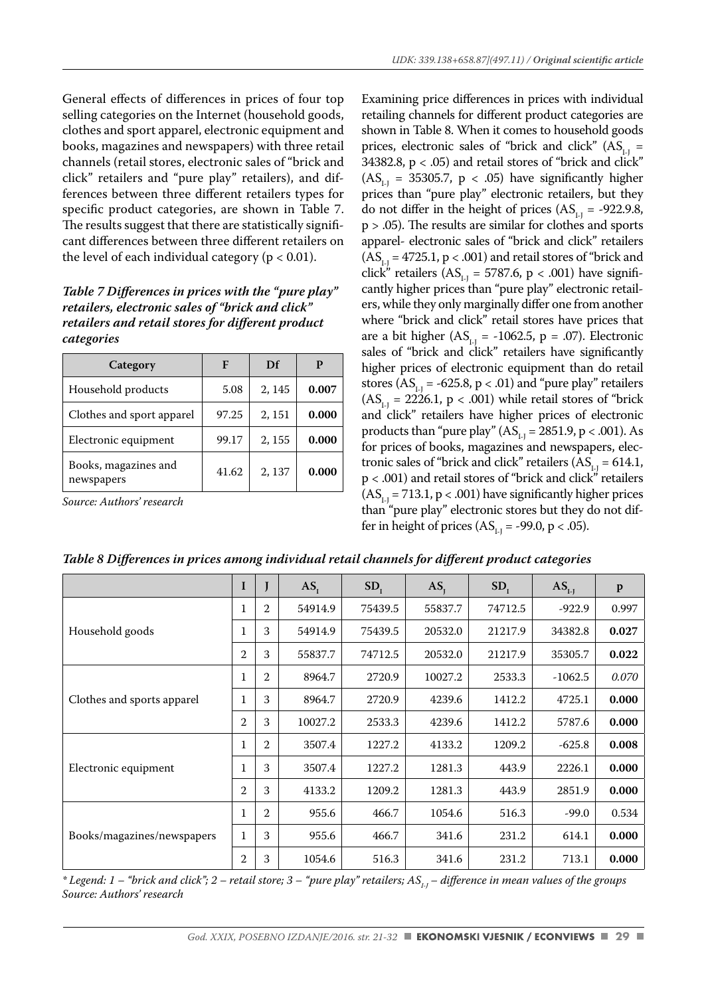General effects of differences in prices of four top selling categories on the Internet (household goods, clothes and sport apparel, electronic equipment and books, magazines and newspapers) with three retail channels (retail stores, electronic sales of "brick and click" retailers and "pure play" retailers), and differences between three different retailers types for specific product categories, are shown in Table 7. The results suggest that there are statistically significant differences between three different retailers on the level of each individual category ( $p < 0.01$ ).

#### *Table 7 Differences in prices with the "pure play" retailers, electronic sales of "brick and click" retailers and retail stores for different product categories*

| Category                           | F     | Df     |       |
|------------------------------------|-------|--------|-------|
| Household products                 | 5.08  | 2, 145 | 0.007 |
| Clothes and sport apparel          | 97.25 | 2, 151 | 0.000 |
| Electronic equipment               | 99.17 | 2, 155 | 0.000 |
| Books, magazines and<br>newspapers | 41.62 | 2, 137 | 0.000 |

*Source: Authors' research*

Examining price differences in prices with individual retailing channels for different product categories are shown in Table 8. When it comes to household goods prices, electronic sales of "brick and click"  $(AS_{11} =$ 34382.8,  $p < .05$ ) and retail stores of "brick and click"  $(AS<sub>1.1</sub> = 35305.7, p < .05)$  have significantly higher prices than "pure play" electronic retailers, but they do not differ in the height of prices  $(AS<sub>1.1</sub> = -922.9.8,$  $p > .05$ ). The results are similar for clothes and sports apparel- electronic sales of "brick and click" retailers  $(AS<sub>1-1</sub> = 4725.1, p < .001)$  and retail stores of "brick and click" retailers ( $AS<sub>L1</sub> = 5787.6$ , p < .001) have significantly higher prices than "pure play" electronic retailers, while they only marginally differ one from another where "brick and click" retail stores have prices that are a bit higher  $(AS<sub>1,1</sub> = -1062.5, p = .07)$ . Electronic sales of "brick and click" retailers have significantly higher prices of electronic equipment than do retail stores ( $AS_{1} = -625.8$ , p < .01) and "pure play" retailers  $(AS<sub>11</sub> = 2226.1, p < .001)$  while retail stores of "brick" and click" retailers have higher prices of electronic products than "pure play"  $(AS_{1} = 2851.9, p < .001)$ . As for prices of books, magazines and newspapers, electronic sales of "brick and click" retailers  $(AS<sub>L1</sub> = 614.1,$ p < .001) and retail stores of "brick and click" retailers (AS<sub>i-J</sub> = 713.1, p < .001) have significantly higher prices than "pure play" electronic stores but they do not differ in height of prices  $(AS<sub>1.1</sub> = -99.0, p < .05)$ .

|                            | I              | J              | AS <sub>r</sub> | SD <sub>1</sub> | AS.     | SD <sub>1</sub> | $ASL-I$   | $\mathbf{p}$ |
|----------------------------|----------------|----------------|-----------------|-----------------|---------|-----------------|-----------|--------------|
|                            |                | $\overline{2}$ | 54914.9         | 75439.5         | 55837.7 | 74712.5         | $-922.9$  | 0.997        |
| Household goods            | 1              | 3              | 54914.9         | 75439.5         | 20532.0 | 21217.9         | 34382.8   | 0.027        |
|                            | 2              | 3              | 55837.7         | 74712.5         | 20532.0 | 21217.9         | 35305.7   | 0.022        |
|                            |                | 2              | 8964.7          | 2720.9          | 10027.2 | 2533.3          | $-1062.5$ | 0.070        |
| Clothes and sports apparel | 1              | 3              | 8964.7          | 2720.9          | 4239.6  | 1412.2          | 4725.1    | 0.000        |
|                            | $\overline{2}$ | 3              | 10027.2         | 2533.3          | 4239.6  | 1412.2          | 5787.6    | 0.000        |
|                            | $\mathbf 1$    | $\overline{2}$ | 3507.4          | 1227.2          | 4133.2  | 1209.2          | $-625.8$  | 0.008        |
| Electronic equipment       | 1              | 3              | 3507.4          | 1227.2          | 1281.3  | 443.9           | 2226.1    | 0.000        |
|                            | $\overline{2}$ | 3              | 4133.2          | 1209.2          | 1281.3  | 443.9           | 2851.9    | 0.000        |
|                            | $\mathbf 1$    | $\overline{2}$ | 955.6           | 466.7           | 1054.6  | 516.3           | $-99.0$   | 0.534        |
| Books/magazines/newspapers | $\mathbf{1}$   | 3              | 955.6           | 466.7           | 341.6   | 231.2           | 614.1     | 0.000        |
|                            | 2              | 3              | 1054.6          | 516.3           | 341.6   | 231.2           | 713.1     | 0.000        |

*Table 8 Diff erences in prices among individual retail channels for diff erent product categories*

*\* Legend: 1 – "brick and click"; 2 – retail store; 3 – "pure play" retailers; ASI-J – diff erence in mean values of the groups Source: Authors' research*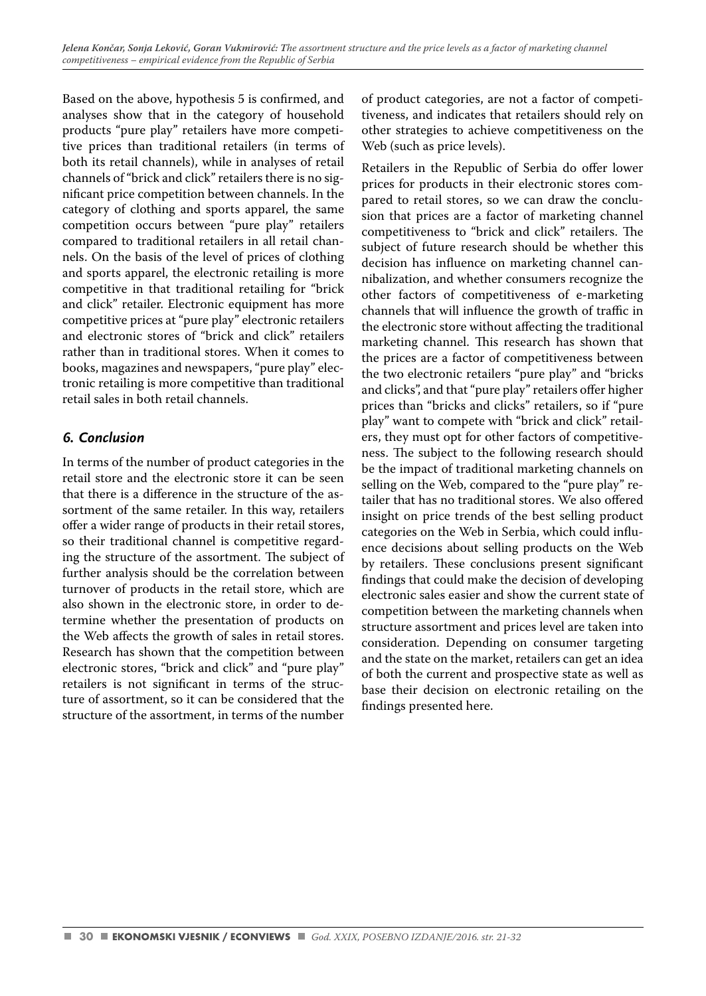Based on the above, hypothesis 5 is confirmed, and analyses show that in the category of household products "pure play" retailers have more competitive prices than traditional retailers (in terms of both its retail channels), while in analyses of retail channels of "brick and click" retailers there is no significant price competition between channels. In the category of clothing and sports apparel, the same competition occurs between "pure play" retailers compared to traditional retailers in all retail channels. On the basis of the level of prices of clothing and sports apparel, the electronic retailing is more competitive in that traditional retailing for "brick and click" retailer. Electronic equipment has more competitive prices at "pure play" electronic retailers and electronic stores of "brick and click" retailers rather than in traditional stores. When it comes to books, magazines and newspapers, "pure play" electronic retailing is more competitive than traditional retail sales in both retail channels.

# *6. Conclusion*

In terms of the number of product categories in the retail store and the electronic store it can be seen that there is a difference in the structure of the assortment of the same retailer. In this way, retailers offer a wider range of products in their retail stores, so their traditional channel is competitive regarding the structure of the assortment. The subject of further analysis should be the correlation between turnover of products in the retail store, which are also shown in the electronic store, in order to determine whether the presentation of products on the Web affects the growth of sales in retail stores. Research has shown that the competition between electronic stores, "brick and click" and "pure play" retailers is not significant in terms of the structure of assortment, so it can be considered that the structure of the assortment, in terms of the number of product categories, are not a factor of competitiveness, and indicates that retailers should rely on other strategies to achieve competitiveness on the Web (such as price levels).

Retailers in the Republic of Serbia do offer lower prices for products in their electronic stores compared to retail stores, so we can draw the conclusion that prices are a factor of marketing channel competitiveness to "brick and click" retailers. The subject of future research should be whether this decision has influence on marketing channel cannibalization, and whether consumers recognize the other factors of competitiveness of e-marketing channels that will influence the growth of traffic in the electronic store without affecting the traditional marketing channel. This research has shown that the prices are a factor of competitiveness between the two electronic retailers "pure play" and "bricks and clicks", and that "pure play" retailers offer higher prices than "bricks and clicks" retailers, so if "pure play" want to compete with "brick and click" retailers, they must opt for other factors of competitiveness. The subject to the following research should be the impact of traditional marketing channels on selling on the Web, compared to the "pure play" retailer that has no traditional stores. We also offered insight on price trends of the best selling product categories on the Web in Serbia, which could influence decisions about selling products on the Web by retailers. These conclusions present significant findings that could make the decision of developing electronic sales easier and show the current state of competition between the marketing channels when structure assortment and prices level are taken into consideration. Depending on consumer targeting and the state on the market, retailers can get an idea of both the current and prospective state as well as base their decision on electronic retailing on the findings presented here.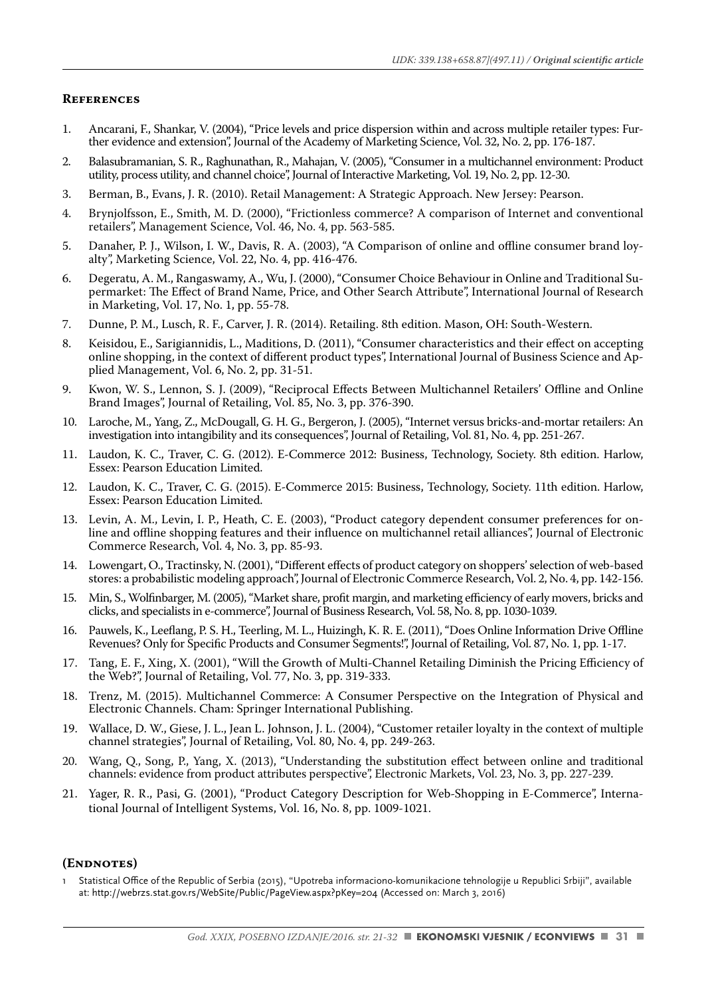#### **References**

- 1. Ancarani, F., Shankar, V. (2004), "Price levels and price dispersion within and across multiple retailer types: Further evidence and extension", Journal of the Academy of Marketing Science, Vol. 32, No. 2, pp. 176-187.
- 2. Balasubramanian, S. R., Raghunathan, R., Mahajan, V. (2005), "Consumer in a multichannel environment: Product utility, process utility, and channel choice", Journal of Interactive Marketing, Vol. 19, No. 2, pp. 12-30.
- 3. Berman, B., Evans, J. R. (2010). Retail Management: A Strategic Approach. New Jersey: Pearson.
- 4. Brynjolfsson, E., Smith, M. D. (2000), "Frictionless commerce? A comparison of Internet and conventional retailers", Management Science, Vol. 46, No. 4, pp. 563-585.
- 5. Danaher, P. J., Wilson, I. W., Davis, R. A. (2003), "A Comparison of online and offline consumer brand loyalty", Marketing Science, Vol. 22, No. 4, pp. 416-476.
- 6. Degeratu, A. M., Rangaswamy, A., Wu, J. (2000), "Consumer Choice Behaviour in Online and Traditional Supermarket: The Effect of Brand Name, Price, and Other Search Attribute", International Journal of Research in Marketing, Vol. 17, No. 1, pp. 55-78.
- 7. Dunne, P. M., Lusch, R. F., Carver, J. R. (2014). Retailing. 8th edition. Mason, OH: South-Western.
- 8. Keisidou, E., Sarigiannidis, L., Maditions, D. (2011), "Consumer characteristics and their effect on accepting online shopping, in the context of different product types", International Journal of Business Science and Applied Management, Vol. 6, No. 2, pp. 31-51.
- 9. Kwon, W. S., Lennon, S. J. (2009), "Reciprocal Effects Between Multichannel Retailers' Offline and Online Brand Images", Journal of Retailing, Vol. 85, No. 3, pp. 376-390.
- 10. Laroche, M., Yang, Z., McDougall, G. H. G., Bergeron, J. (2005), "Internet versus bricks-and-mortar retailers: An investigation into intangibility and its consequences", Journal of Retailing, Vol. 81, No. 4, pp. 251-267.
- 11. Laudon, K. C., Traver, C. G. (2012). E-Commerce 2012: Business, Technology, Society. 8th edition. Harlow, Essex: Pearson Education Limited.
- 12. Laudon, K. C., Traver, C. G. (2015). E-Commerce 2015: Business, Technology, Society. 11th edition. Harlow, Essex: Pearson Education Limited.
- 13. Levin, A. M., Levin, I. P., Heath, C. E. (2003), "Product category dependent consumer preferences for online and offline shopping features and their influence on multichannel retail alliances", Journal of Electronic Commerce Research, Vol. 4, No. 3, pp. 85-93.
- 14. Lowengart, O., Tractinsky, N. (2001), "Different effects of product category on shoppers' selection of web-based stores: a probabilistic modeling approach", Journal of Electronic Commerce Research, Vol. 2, No. 4, pp. 142-156.
- 15. Min, S., Wolfinbarger, M. (2005), "Market share, profit margin, and marketing efficiency of early movers, bricks and clicks, and specialists in e-commerce", Journal of Business Research, Vol. 58, No. 8, pp. 1030-1039.
- 16. Pauwels, K., Leeflang, P. S. H., Teerling, M. L., Huizingh, K. R. E. (2011), "Does Online Information Drive Offline Revenues? Only for Specific Products and Consumer Segments!", Journal of Retailing, Vol. 87, No. 1, pp. 1-17.
- 17. Tang, E. F., Xing, X. (2001), "Will the Growth of Multi-Channel Retailing Diminish the Pricing Efficiency of the Web?", Journal of Retailing, Vol. 77, No. 3, pp. 319-333.
- 18. Trenz, M. (2015). Multichannel Commerce: A Consumer Perspective on the Integration of Physical and Electronic Channels. Cham: Springer International Publishing.
- 19. Wallace, D. W., Giese, J. L., Jean L. Johnson, J. L. (2004), "Customer retailer loyalty in the context of multiple channel strategies", Journal of Retailing, Vol. 80, No. 4, pp. 249-263.
- 20. Wang, Q., Song, P., Yang, X. (2013), "Understanding the substitution effect between online and traditional channels: evidence from product attributes perspective", Electronic Markets, Vol. 23, No. 3, pp. 227-239.
- 21. Yager, R. R., Pasi, G. (2001), "Product Category Description for Web-Shopping in E-Commerce", International Journal of Intelligent Systems, Vol. 16, No. 8, pp. 1009-1021.

#### **(Endnotes)**

Statistical Office of the Republic of Serbia (2015), "Upotreba informaciono-komunikacione tehnologije u Republici Srbiji", available at: http://webrzs.stat.gov.rs/WebSite/Public/PageView.aspx?pKey=204 (Accessed on: March 3, 2016)